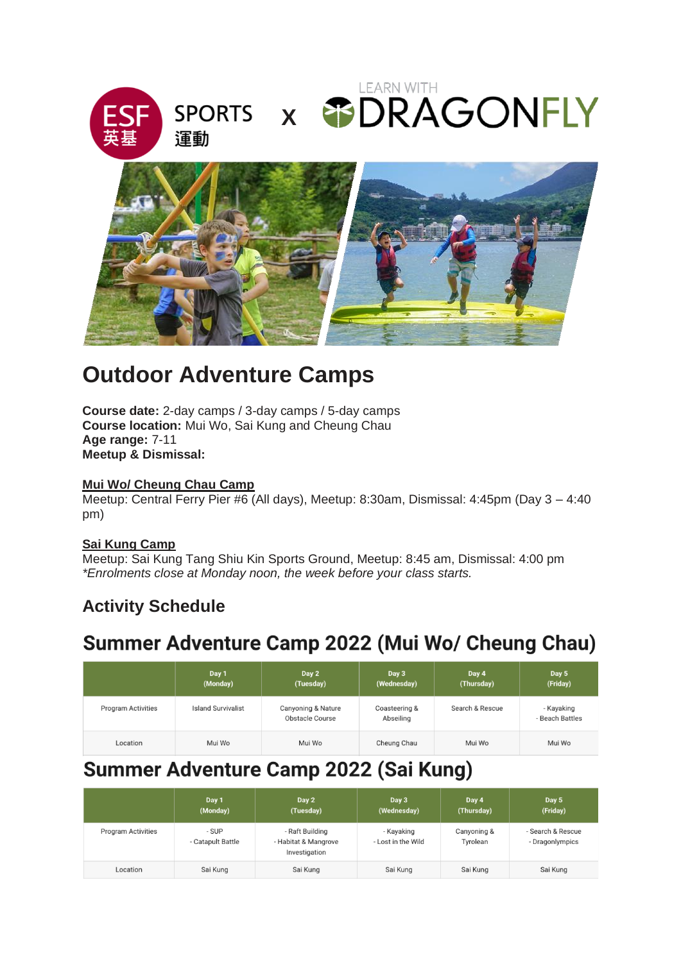



# **Outdoor Adventure Camps**

**Course date:** 2-day camps / 3-day camps / 5-day camps **Course location:** Mui Wo, Sai Kung and Cheung Chau **Age range:** 7-11 **Meetup & Dismissal:** 

### **Mui Wo/ Cheung Chau Camp**

Meetup: Central Ferry Pier #6 (All days), Meetup: 8:30am, Dismissal: 4:45pm (Day 3 – 4:40 pm)

### **Sai Kung Camp**

Meetup: Sai Kung Tang Shiu Kin Sports Ground, Meetup: 8:45 am, Dismissal: 4:00 pm *\*Enrolments close at Monday noon, the week before your class starts.*

### **Activity Schedule**

## Summer Adventure Camp 2022 (Mui Wo/ Cheung Chau)

|                           | Day 1<br>(Monday)         | Day 2<br>(Tuesday)                           | Day 3<br>(Wednesday)       | Day 4<br>(Thursday) | Day 5<br>(Friday)             |
|---------------------------|---------------------------|----------------------------------------------|----------------------------|---------------------|-------------------------------|
| <b>Program Activities</b> | <b>Island Survivalist</b> | Canyoning & Nature<br><b>Obstacle Course</b> | Coasteering &<br>Abseiling | Search & Rescue     | - Kayaking<br>- Beach Battles |
| Location                  | Mui Wo                    | Mui Wo                                       | Cheung Chau                | Mui Wo              | Mui Wo                        |

## Summer Adventure Camp 2022 (Sai Kung)

|                           | Day 1<br>(Monday)          | Day 2<br>(Tuesday)                                       | Day 3<br>(Wednesday)             | Day 4<br>(Thursday)     | Day 5<br>(Friday)                    |
|---------------------------|----------------------------|----------------------------------------------------------|----------------------------------|-------------------------|--------------------------------------|
| <b>Program Activities</b> | - SUP<br>- Catapult Battle | - Raft Building<br>- Habitat & Mangrove<br>Investigation | - Kavaking<br>- Lost in the Wild | Canyoning &<br>Tyrolean | - Search & Rescue<br>- Dragonlympics |
| Location                  | Sai Kung                   | Sai Kung                                                 | Sai Kung                         | Sai Kung                | Sai Kung                             |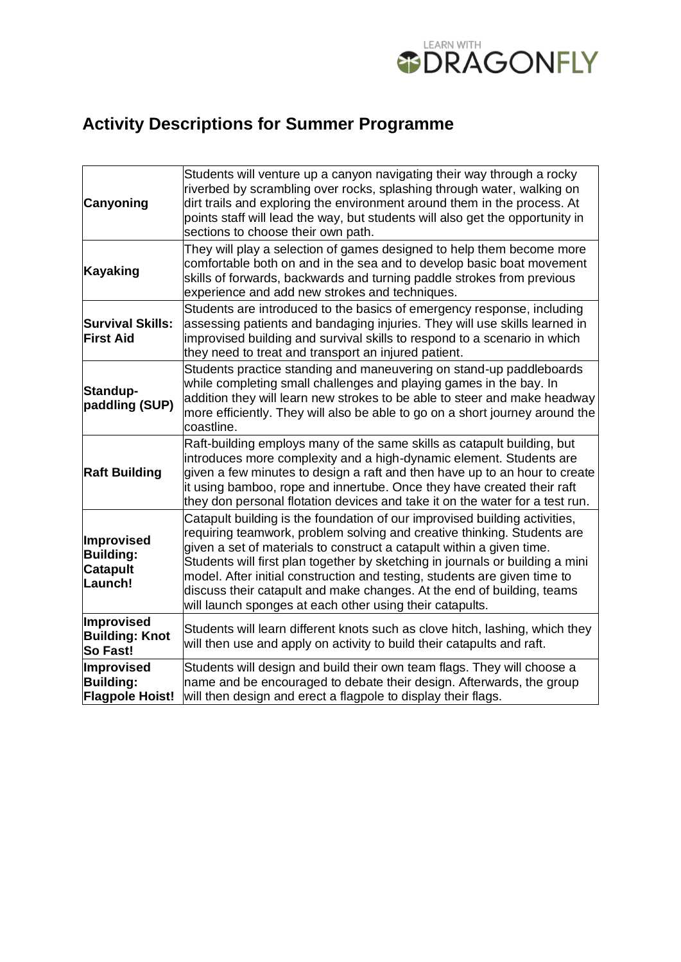

# **Activity Descriptions for Summer Programme**

| <b>Canyoning</b>                                             | Students will venture up a canyon navigating their way through a rocky<br>riverbed by scrambling over rocks, splashing through water, walking on<br>dirt trails and exploring the environment around them in the process. At<br>points staff will lead the way, but students will also get the opportunity in<br>sections to choose their own path.                                                                                                                                                                                |
|--------------------------------------------------------------|------------------------------------------------------------------------------------------------------------------------------------------------------------------------------------------------------------------------------------------------------------------------------------------------------------------------------------------------------------------------------------------------------------------------------------------------------------------------------------------------------------------------------------|
| Kayaking                                                     | They will play a selection of games designed to help them become more<br>comfortable both on and in the sea and to develop basic boat movement<br>skills of forwards, backwards and turning paddle strokes from previous<br>experience and add new strokes and techniques.                                                                                                                                                                                                                                                         |
| <b>Survival Skills:</b><br><b>First Aid</b>                  | Students are introduced to the basics of emergency response, including<br>assessing patients and bandaging injuries. They will use skills learned in<br>improvised building and survival skills to respond to a scenario in which<br>they need to treat and transport an injured patient.                                                                                                                                                                                                                                          |
| Standup-<br>paddling (SUP)                                   | Students practice standing and maneuvering on stand-up paddleboards<br>while completing small challenges and playing games in the bay. In<br>addition they will learn new strokes to be able to steer and make headway<br>more efficiently. They will also be able to go on a short journey around the<br>coastline.                                                                                                                                                                                                               |
| <b>Raft Building</b>                                         | Raft-building employs many of the same skills as catapult building, but<br>introduces more complexity and a high-dynamic element. Students are<br>given a few minutes to design a raft and then have up to an hour to create<br>it using bamboo, rope and innertube. Once they have created their raft<br>they don personal flotation devices and take it on the water for a test run.                                                                                                                                             |
| Improvised<br><b>Building:</b><br><b>Catapult</b><br>Launch! | Catapult building is the foundation of our improvised building activities,<br>requiring teamwork, problem solving and creative thinking. Students are<br>given a set of materials to construct a catapult within a given time.<br>Students will first plan together by sketching in journals or building a mini<br>model. After initial construction and testing, students are given time to<br>discuss their catapult and make changes. At the end of building, teams<br>will launch sponges at each other using their catapults. |
| Improvised<br><b>Building: Knot</b><br>So Fast!              | Students will learn different knots such as clove hitch, lashing, which they<br>will then use and apply on activity to build their catapults and raft.                                                                                                                                                                                                                                                                                                                                                                             |
| Improvised<br><b>Building:</b><br><b>Flagpole Hoist!</b>     | Students will design and build their own team flags. They will choose a<br>name and be encouraged to debate their design. Afterwards, the group<br>will then design and erect a flagpole to display their flags.                                                                                                                                                                                                                                                                                                                   |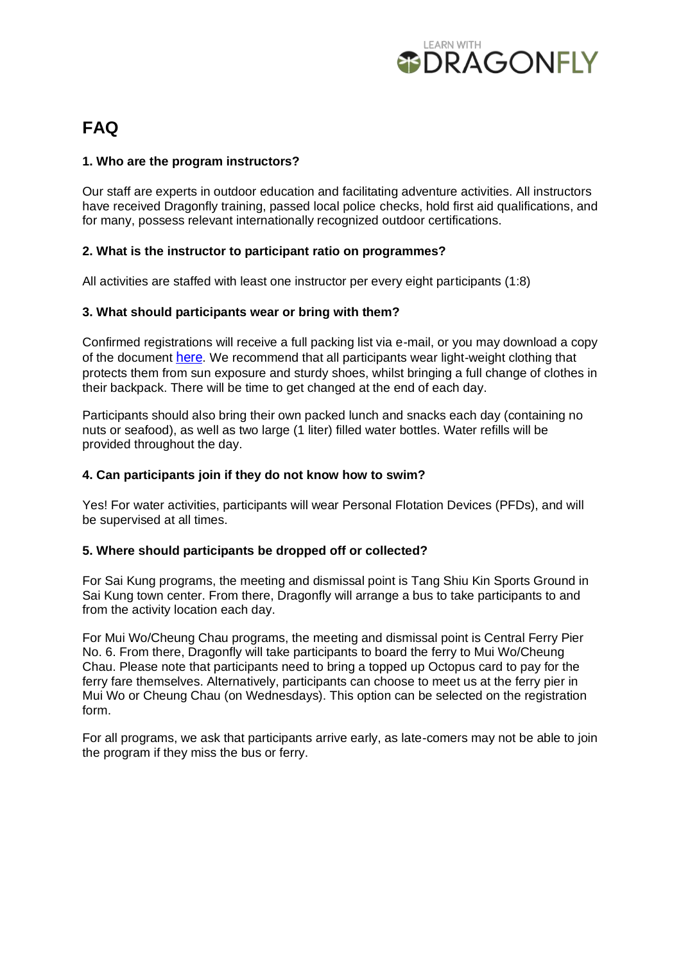

### **FAQ**

### **1. Who are the program instructors?**

Our staff are experts in outdoor education and facilitating adventure activities. All instructors have received Dragonfly training, passed local police checks, hold first aid qualifications, and for many, possess relevant internationally recognized outdoor certifications.

### **2. What is the instructor to participant ratio on programmes?**

All activities are staffed with least one instructor per every eight participants (1:8)

### **3. What should participants wear or bring with them?**

Confirmed registrations will receive a full packing list via e-mail, or you may download a copy of the document [here.](https://drive.google.com/file/d/12HDqCzlrhO5ZqM6Wo1rlx8i5rDtrWF6R/view?usp=sharing) We recommend that all participants wear light-weight clothing that protects them from sun exposure and sturdy shoes, whilst bringing a full change of clothes in their backpack. There will be time to get changed at the end of each day.

Participants should also bring their own packed lunch and snacks each day (containing no nuts or seafood), as well as two large (1 liter) filled water bottles. Water refills will be provided throughout the day.

#### **4. Can participants join if they do not know how to swim?**

Yes! For water activities, participants will wear Personal Flotation Devices (PFDs), and will be supervised at all times.

### **5. Where should participants be dropped off or collected?**

For Sai Kung programs, the meeting and dismissal point is Tang Shiu Kin Sports Ground in Sai Kung town center. From there, Dragonfly will arrange a bus to take participants to and from the activity location each day.

For Mui Wo/Cheung Chau programs, the meeting and dismissal point is Central Ferry Pier No. 6. From there, Dragonfly will take participants to board the ferry to Mui Wo/Cheung Chau. Please note that participants need to bring a topped up Octopus card to pay for the ferry fare themselves. Alternatively, participants can choose to meet us at the ferry pier in Mui Wo or Cheung Chau (on Wednesdays). This option can be selected on the registration form.

For all programs, we ask that participants arrive early, as late-comers may not be able to join the program if they miss the bus or ferry.